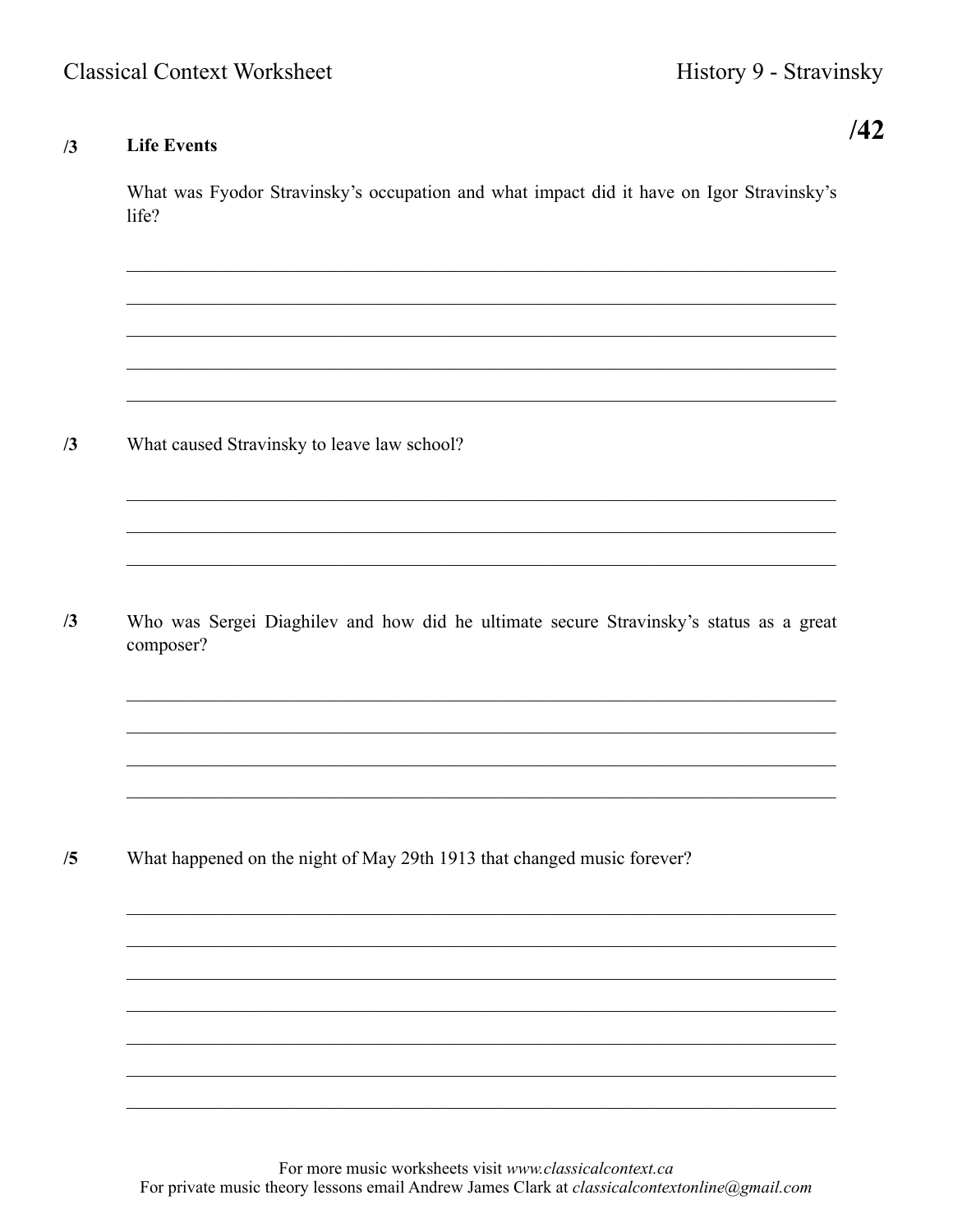## **Life Events**  $/3$

 $/42$ 

What was Fyodor Stravinsky's occupation and what impact did it have on Igor Stravinsky's life?

 $/3$ What caused Stravinsky to leave law school?

 $/3$ Who was Sergei Diaghilev and how did he ultimate secure Stravinsky's status as a great composer?

<u> 1989 - Johann Stoff, amerikansk politiker (d. 1989)</u>

 $/5$ What happened on the night of May 29th 1913 that changed music forever?

> For more music worksheets visit www.classicalcontext.ca For private music theory lessons email Andrew James Clark at *classicalcontextonline@gmail.com*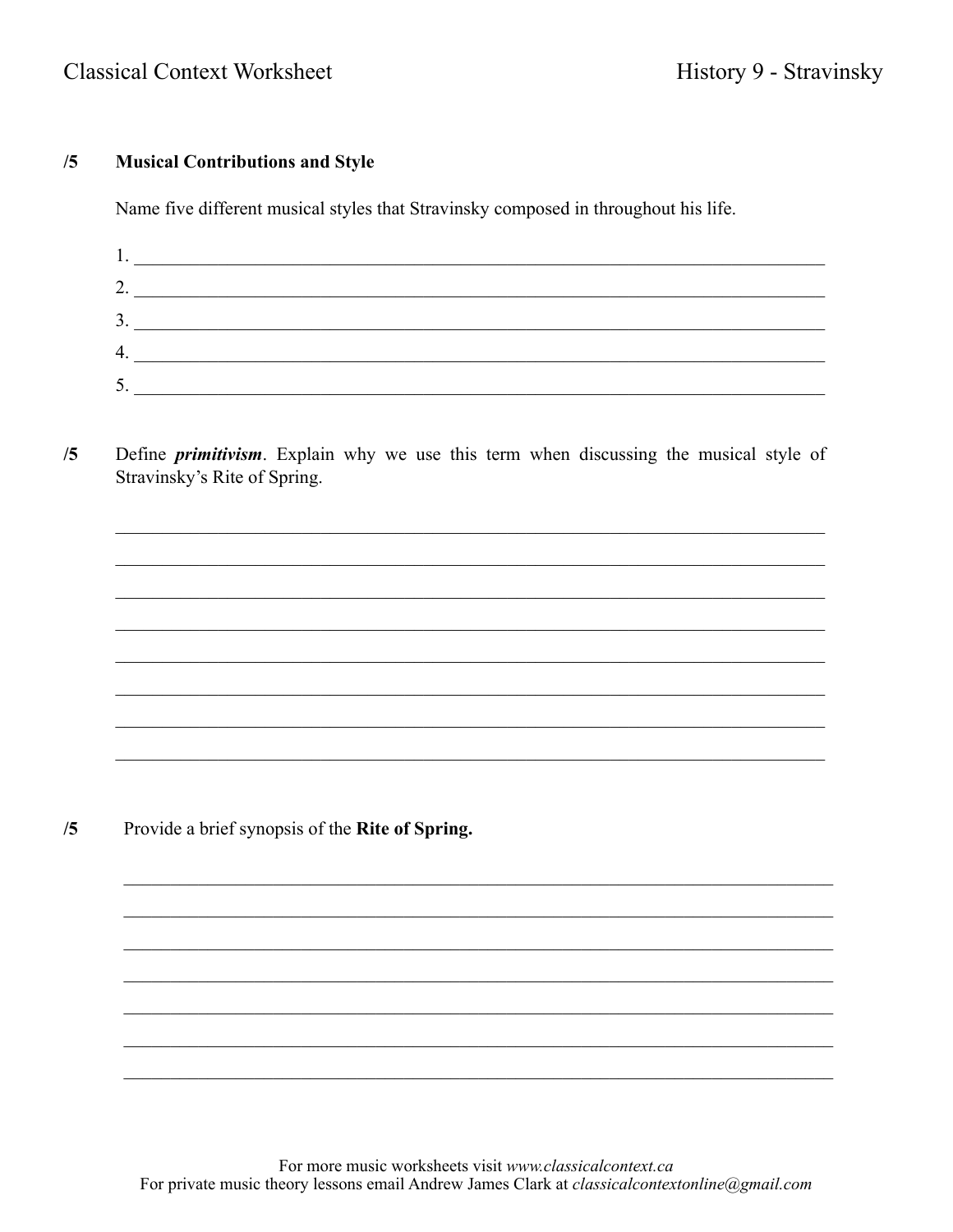## **Classical Context Worksheet**

## **Musical Contributions and Style**  $/5$

Name five different musical styles that Stravinsky composed in throughout his life.

| ∍<br>Ź.                   |  |
|---------------------------|--|
| 3.                        |  |
| 4.                        |  |
| ς<br>$\bm{\mathcal{C}}$ . |  |

Define *primitivism*. Explain why we use this term when discussing the musical style of  $/5$ Stravinsky's Rite of Spring.

Provide a brief synopsis of the Rite of Spring.  $/5$